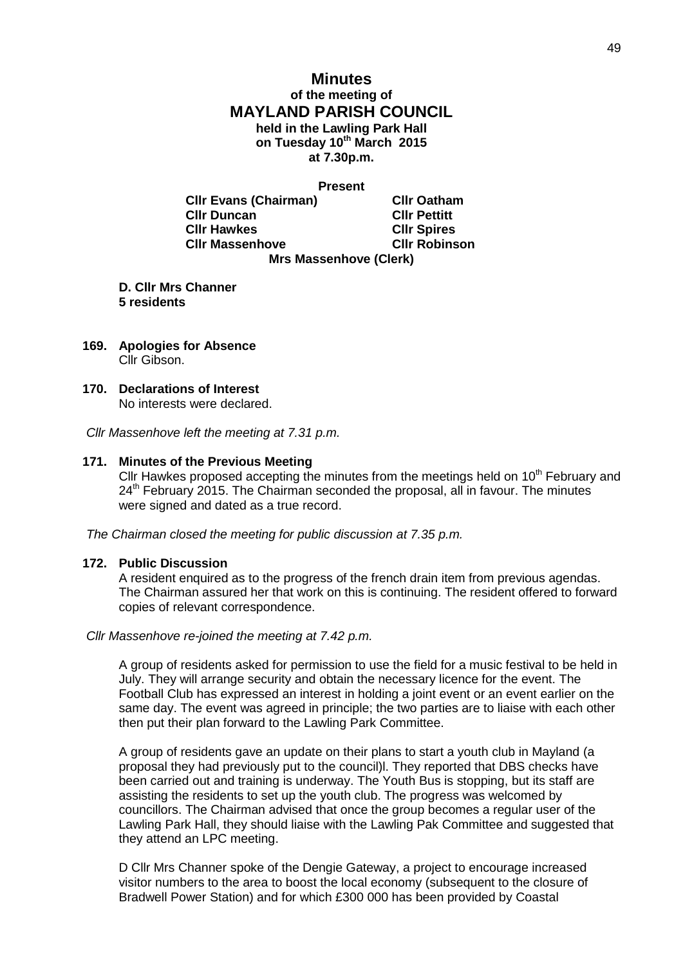# **Minutes of the meeting of MAYLAND PARISH COUNCIL held in the Lawling Park Hall on Tuesday 10th March 2015 at 7.30p.m.**

**Present**

**Cllr Evans (Chairman) Cllr Oatham Cllr Duncan Cllr Pettitt Cllr Hawkes Cllr Spires Cllr Massenhove Cllr Robinson Mrs Massenhove (Clerk)**

**D. Cllr Mrs Channer 5 residents**

- **169. Apologies for Absence** Cllr Gibson.
- **170. Declarations of Interest** No interests were declared.

*Cllr Massenhove left the meeting at 7.31 p.m.*

#### **171. Minutes of the Previous Meeting**

Cllr Hawkes proposed accepting the minutes from the meetings held on  $10<sup>th</sup>$  February and 24<sup>th</sup> February 2015. The Chairman seconded the proposal, all in favour. The minutes were signed and dated as a true record.

*The Chairman closed the meeting for public discussion at 7.35 p.m.*

#### **172. Public Discussion**

A resident enquired as to the progress of the french drain item from previous agendas. The Chairman assured her that work on this is continuing. The resident offered to forward copies of relevant correspondence.

#### *Cllr Massenhove re-joined the meeting at 7.42 p.m.*

A group of residents asked for permission to use the field for a music festival to be held in July. They will arrange security and obtain the necessary licence for the event. The Football Club has expressed an interest in holding a joint event or an event earlier on the same day. The event was agreed in principle; the two parties are to liaise with each other then put their plan forward to the Lawling Park Committee.

A group of residents gave an update on their plans to start a youth club in Mayland (a proposal they had previously put to the council)l. They reported that DBS checks have been carried out and training is underway. The Youth Bus is stopping, but its staff are assisting the residents to set up the youth club. The progress was welcomed by councillors. The Chairman advised that once the group becomes a regular user of the Lawling Park Hall, they should liaise with the Lawling Pak Committee and suggested that they attend an LPC meeting.

D Cllr Mrs Channer spoke of the Dengie Gateway, a project to encourage increased visitor numbers to the area to boost the local economy (subsequent to the closure of Bradwell Power Station) and for which £300 000 has been provided by Coastal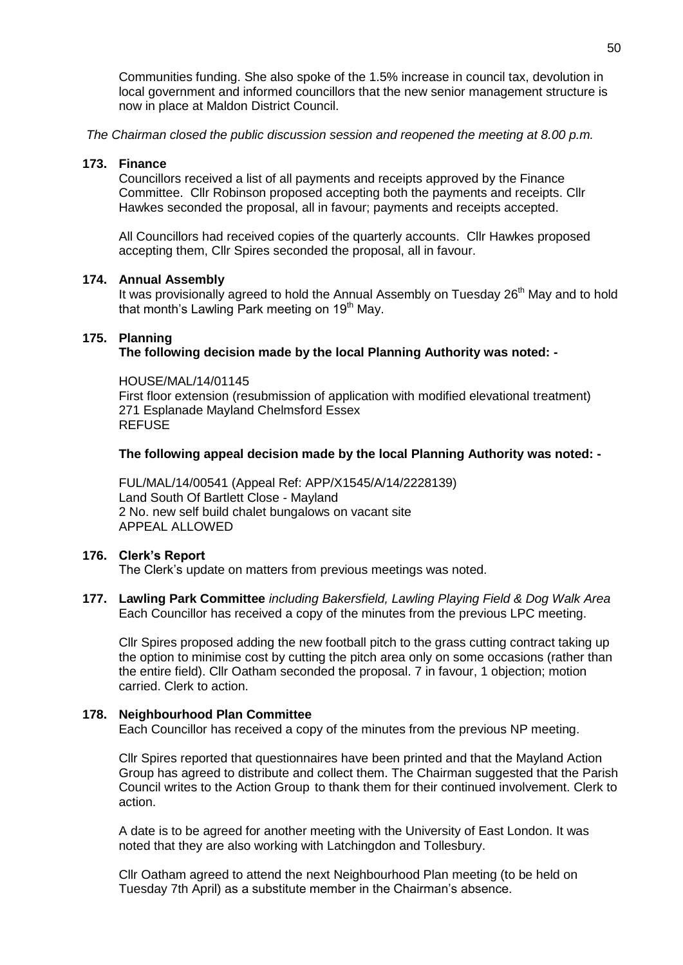Communities funding. She also spoke of the 1.5% increase in council tax, devolution in local government and informed councillors that the new senior management structure is now in place at Maldon District Council.

*The Chairman closed the public discussion session and reopened the meeting at 8.00 p.m.*

### **173. Finance**

Councillors received a list of all payments and receipts approved by the Finance Committee. Cllr Robinson proposed accepting both the payments and receipts. Cllr Hawkes seconded the proposal, all in favour; payments and receipts accepted.

All Councillors had received copies of the quarterly accounts. Cllr Hawkes proposed accepting them, Cllr Spires seconded the proposal, all in favour.

# **174. Annual Assembly**

It was provisionally agreed to hold the Annual Assembly on Tuesday 26<sup>th</sup> May and to hold that month's Lawling Park meeting on 19<sup>th</sup> May.

# **175. Planning**

# **The following decision made by the local Planning Authority was noted: -**

HOUSE/MAL/14/01145 First floor extension (resubmission of application with modified elevational treatment) 271 Esplanade Mayland Chelmsford Essex REFUSE

# **The following appeal decision made by the local Planning Authority was noted: -**

FUL/MAL/14/00541 (Appeal Ref: APP/X1545/A/14/2228139) Land South Of Bartlett Close - Mayland 2 No. new self build chalet bungalows on vacant site APPEAL ALLOWED

# **176. Clerk's Report**

The Clerk's update on matters from previous meetings was noted.

**177. Lawling Park Committee** *including Bakersfield, Lawling Playing Field & Dog Walk Area* Each Councillor has received a copy of the minutes from the previous LPC meeting.

Cllr Spires proposed adding the new football pitch to the grass cutting contract taking up the option to minimise cost by cutting the pitch area only on some occasions (rather than the entire field). Cllr Oatham seconded the proposal. 7 in favour, 1 objection; motion carried. Clerk to action.

# **178. Neighbourhood Plan Committee**

Each Councillor has received a copy of the minutes from the previous NP meeting.

Cllr Spires reported that questionnaires have been printed and that the Mayland Action Group has agreed to distribute and collect them. The Chairman suggested that the Parish Council writes to the Action Group to thank them for their continued involvement. Clerk to action.

A date is to be agreed for another meeting with the University of East London. It was noted that they are also working with Latchingdon and Tollesbury.

Cllr Oatham agreed to attend the next Neighbourhood Plan meeting (to be held on Tuesday 7th April) as a substitute member in the Chairman's absence.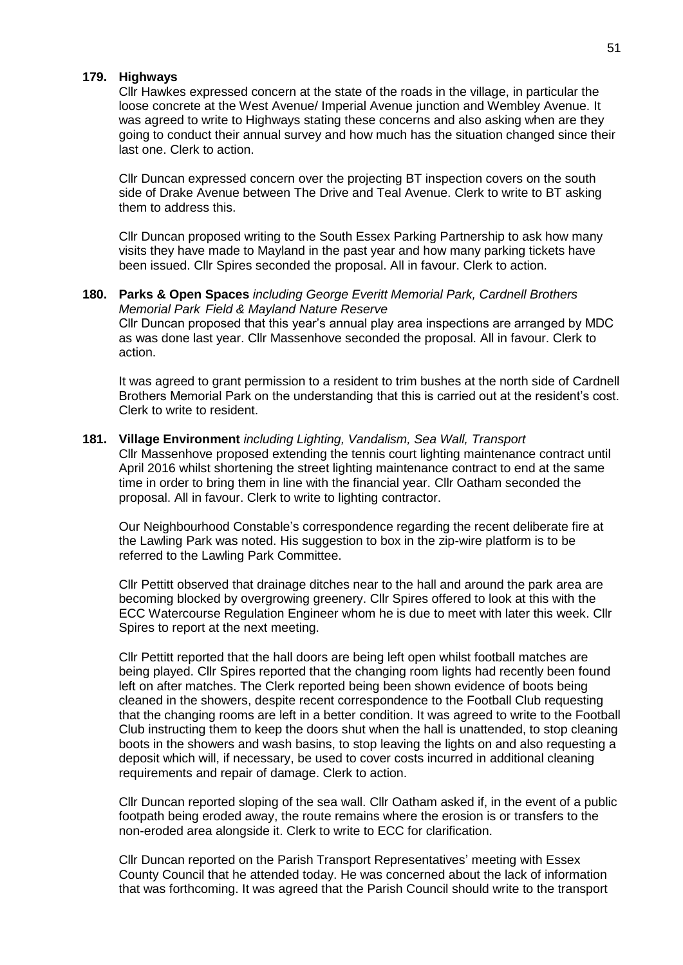# **179. Highways**

Cllr Hawkes expressed concern at the state of the roads in the village, in particular the loose concrete at the West Avenue/ Imperial Avenue junction and Wembley Avenue. It was agreed to write to Highways stating these concerns and also asking when are they going to conduct their annual survey and how much has the situation changed since their last one. Clerk to action.

Cllr Duncan expressed concern over the projecting BT inspection covers on the south side of Drake Avenue between The Drive and Teal Avenue. Clerk to write to BT asking them to address this.

Cllr Duncan proposed writing to the South Essex Parking Partnership to ask how many visits they have made to Mayland in the past year and how many parking tickets have been issued. Cllr Spires seconded the proposal. All in favour. Clerk to action.

#### **180. Parks & Open Spaces** *including George Everitt Memorial Park, Cardnell Brothers Memorial Park Field & Mayland Nature Reserve*

Cllr Duncan proposed that this year's annual play area inspections are arranged by MDC as was done last year. Cllr Massenhove seconded the proposal. All in favour. Clerk to action.

It was agreed to grant permission to a resident to trim bushes at the north side of Cardnell Brothers Memorial Park on the understanding that this is carried out at the resident's cost. Clerk to write to resident.

# **181. Village Environment** *including Lighting, Vandalism, Sea Wall, Transport* Cllr Massenhove proposed extending the tennis court lighting maintenance contract until

April 2016 whilst shortening the street lighting maintenance contract to end at the same time in order to bring them in line with the financial year. Cllr Oatham seconded the proposal. All in favour. Clerk to write to lighting contractor.

Our Neighbourhood Constable's correspondence regarding the recent deliberate fire at the Lawling Park was noted. His suggestion to box in the zip-wire platform is to be referred to the Lawling Park Committee.

Cllr Pettitt observed that drainage ditches near to the hall and around the park area are becoming blocked by overgrowing greenery. Cllr Spires offered to look at this with the ECC Watercourse Regulation Engineer whom he is due to meet with later this week. Cllr Spires to report at the next meeting.

Cllr Pettitt reported that the hall doors are being left open whilst football matches are being played. Cllr Spires reported that the changing room lights had recently been found left on after matches. The Clerk reported being been shown evidence of boots being cleaned in the showers, despite recent correspondence to the Football Club requesting that the changing rooms are left in a better condition. It was agreed to write to the Football Club instructing them to keep the doors shut when the hall is unattended, to stop cleaning boots in the showers and wash basins, to stop leaving the lights on and also requesting a deposit which will, if necessary, be used to cover costs incurred in additional cleaning requirements and repair of damage. Clerk to action.

Cllr Duncan reported sloping of the sea wall. Cllr Oatham asked if, in the event of a public footpath being eroded away, the route remains where the erosion is or transfers to the non-eroded area alongside it. Clerk to write to ECC for clarification.

Cllr Duncan reported on the Parish Transport Representatives' meeting with Essex County Council that he attended today. He was concerned about the lack of information that was forthcoming. It was agreed that the Parish Council should write to the transport